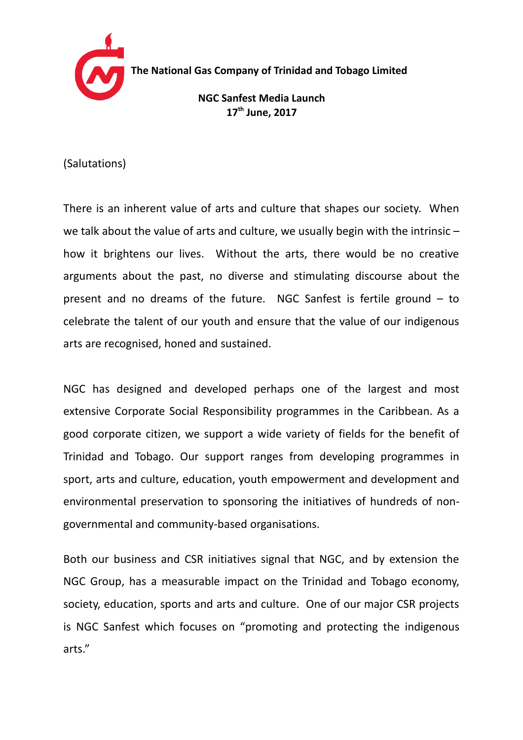

**17th June, 2017**

(Salutations)

There is an inherent value of arts and culture that shapes our society. When we talk about the value of arts and culture, we usually begin with the intrinsic – how it brightens our lives. Without the arts, there would be no creative arguments about the past, no diverse and stimulating discourse about the present and no dreams of the future. NGC Sanfest is fertile ground – to celebrate the talent of our youth and ensure that the value of our indigenous arts are recognised, honed and sustained.

NGC has designed and developed perhaps one of the largest and most extensive Corporate Social Responsibility programmes in the Caribbean. As a good corporate citizen, we support a wide variety of fields for the benefit of Trinidad and Tobago. Our support ranges from developing programmes in sport, arts and culture, education, youth empowerment and development and environmental preservation to sponsoring the initiatives of hundreds of nongovernmental and community-based organisations.

Both our business and CSR initiatives signal that NGC, and by extension the NGC Group, has a measurable impact on the Trinidad and Tobago economy, society, education, sports and arts and culture. One of our major CSR projects is NGC Sanfest which focuses on "promoting and protecting the indigenous arts."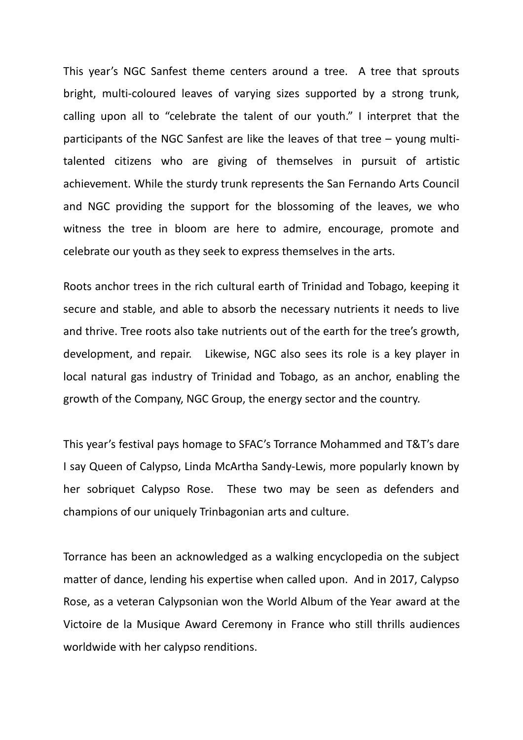This year's NGC Sanfest theme centers around a tree. A tree that sprouts bright, multi-coloured leaves of varying sizes supported by a strong trunk, calling upon all to "celebrate the talent of our youth." I interpret that the participants of the NGC Sanfest are like the leaves of that tree – young multitalented citizens who are giving of themselves in pursuit of artistic achievement. While the sturdy trunk represents the San Fernando Arts Council and NGC providing the support for the blossoming of the leaves, we who witness the tree in bloom are here to admire, encourage, promote and celebrate our youth as they seek to express themselves in the arts.

Roots anchor trees in the rich cultural earth of Trinidad and Tobago, keeping it secure and stable, and able to absorb the necessary nutrients it needs to live and thrive. Tree roots also take nutrients out of the earth for the tree's growth, development, and repair. Likewise, NGC also sees its role is a key player in local natural gas industry of Trinidad and Tobago, as an anchor, enabling the growth of the Company, NGC Group, the energy sector and the country.

This year's festival pays homage to SFAC's Torrance Mohammed and T&T's dare I say Queen of Calypso, Linda McArtha Sandy-Lewis, more popularly known by her sobriquet Calypso Rose. These two may be seen as defenders and champions of our uniquely Trinbagonian arts and culture.

Torrance has been an acknowledged as a walking encyclopedia on the subject matter of dance, lending his expertise when called upon. And in 2017, Calypso Rose, as a veteran Calypsonian won the World Album of the Year award at the Victoire de la Musique Award Ceremony in France who still thrills audiences worldwide with her calypso renditions.